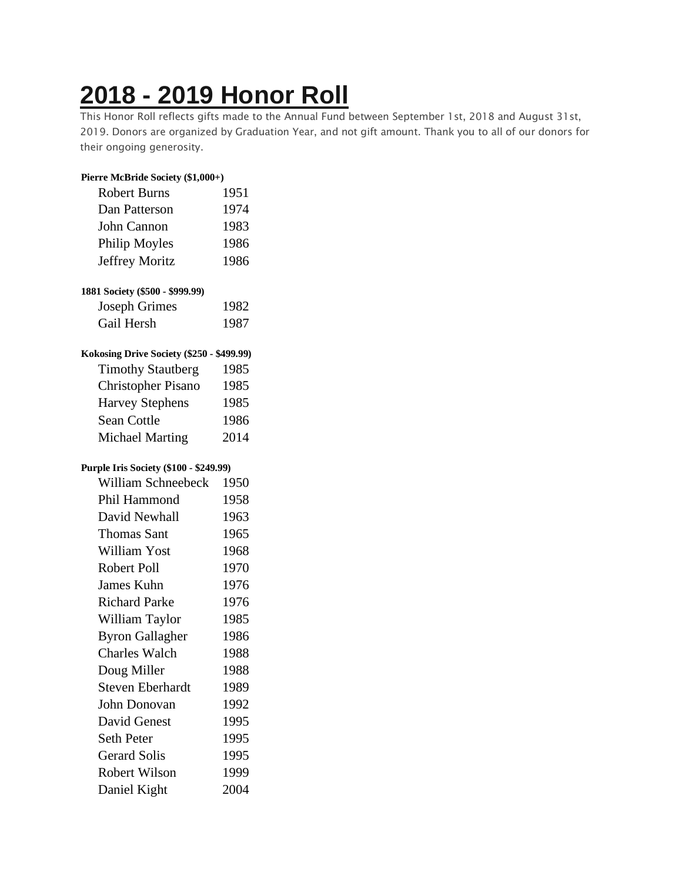## **2018 - 2019 [Honor](https://chidelts.2stayconnected.com/index.php?option=com_content&view=article&id=588:2018-2019-honor-roll&catid=42&Itemid=624) Roll**

This Honor Roll reflects gifts made to the Annual Fund between September 1st, 2018 and August 31st, 2019. Donors are organized by Graduation Year, and not gift amount. Thank you to all of our donors for their ongoing generosity.

| Pierre McBride Society (\$1,000+)         |      |
|-------------------------------------------|------|
| <b>Robert Burns</b>                       | 1951 |
| Dan Patterson                             | 1974 |
| John Cannon                               | 1983 |
| Philip Moyles                             | 1986 |
| Jeffrey Moritz                            | 1986 |
| 1881 Society (\$500 - \$999.99)           |      |
| <b>Joseph Grimes</b>                      | 1982 |
| Gail Hersh                                | 1987 |
| Kokosing Drive Society (\$250 - \$499.99) |      |
| <b>Timothy Stautberg</b>                  | 1985 |
| <b>Christopher Pisano</b>                 | 1985 |
| <b>Harvey Stephens</b>                    | 1985 |
| <b>Sean Cottle</b>                        | 1986 |
| <b>Michael Marting</b>                    | 2014 |
| Purple Iris Society (\$100 - \$249.99)    |      |
| William Schneebeck                        | 1950 |
| Phil Hammond                              | 1958 |
| David Newhall                             | 1963 |
| <b>Thomas Sant</b>                        | 1965 |
| William Yost                              | 1968 |
| Robert Poll                               | 1970 |
| James Kuhn                                | 1976 |
| <b>Richard Parke</b>                      | 1976 |
| William Taylor                            | 1985 |
| <b>Byron Gallagher</b>                    | 1986 |
| <b>Charles Walch</b>                      | 1988 |
| Doug Miller                               | 1988 |
| <b>Steven Eberhardt</b>                   | 1989 |
| John Donovan                              | 1992 |
| David Genest                              | 1995 |
| <b>Seth Peter</b>                         | 1995 |
| <b>Gerard Solis</b>                       | 1995 |
| <b>Robert Wilson</b>                      | 1999 |
| Daniel Kight                              | 2004 |